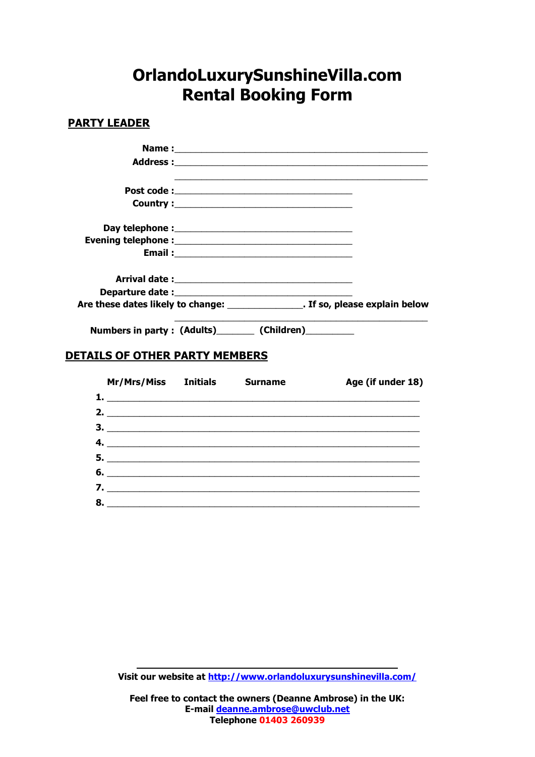## **OrlandoLuxurySunshineVilla.com Rental Booking Form**

## **PARTY LEADER**

|                                                        | Are these dates likely to change: The same set of the set of the set of the set of the set of the set of the s |
|--------------------------------------------------------|----------------------------------------------------------------------------------------------------------------|
| Numbers in party: (Adults)________ (Children)_________ |                                                                                                                |
|                                                        |                                                                                                                |

## **DETAILS OF OTHER PARTY MEMBERS**

| Mr/Mrs/Miss Initials | <b>Surname</b> | Age (if under 18) |
|----------------------|----------------|-------------------|
|                      |                |                   |
|                      |                |                   |
|                      |                |                   |
|                      |                |                   |
|                      |                |                   |
|                      |                |                   |
|                      |                |                   |
| 8.                   |                |                   |

**Visit our website at<http://www.orlandoluxurysunshinevilla.com/>**